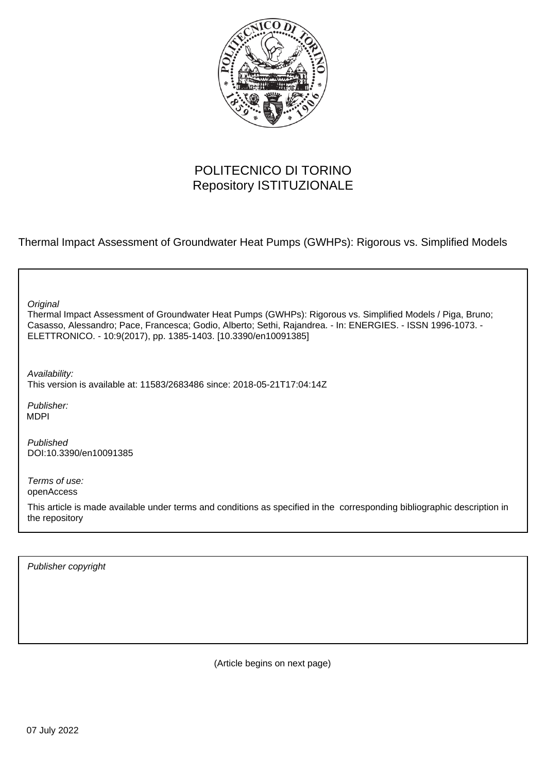

# POLITECNICO DI TORINO Repository ISTITUZIONALE

Thermal Impact Assessment of Groundwater Heat Pumps (GWHPs): Rigorous vs. Simplified Models

| Original<br>Thermal Impact Assessment of Groundwater Heat Pumps (GWHPs): Rigorous vs. Simplified Models / Piga, Bruno;<br>Casasso, Alessandro; Pace, Francesca; Godio, Alberto; Sethi, Rajandrea. - In: ENERGIES. - ISSN 1996-1073. -<br>ELETTRONICO. - 10:9(2017), pp. 1385-1403. [10.3390/en10091385] |
|---------------------------------------------------------------------------------------------------------------------------------------------------------------------------------------------------------------------------------------------------------------------------------------------------------|
| Availability:<br>This version is available at: 11583/2683486 since: 2018-05-21T17:04:14Z                                                                                                                                                                                                                |
| Publisher:<br><b>MDPI</b>                                                                                                                                                                                                                                                                               |
| Published<br>DOI:10.3390/en10091385                                                                                                                                                                                                                                                                     |
| Terms of use:<br>openAccess                                                                                                                                                                                                                                                                             |
| This article is made available under terms and conditions as specified in the corresponding bibliographic description in<br>the repository                                                                                                                                                              |
|                                                                                                                                                                                                                                                                                                         |

Publisher copyright

(Article begins on next page)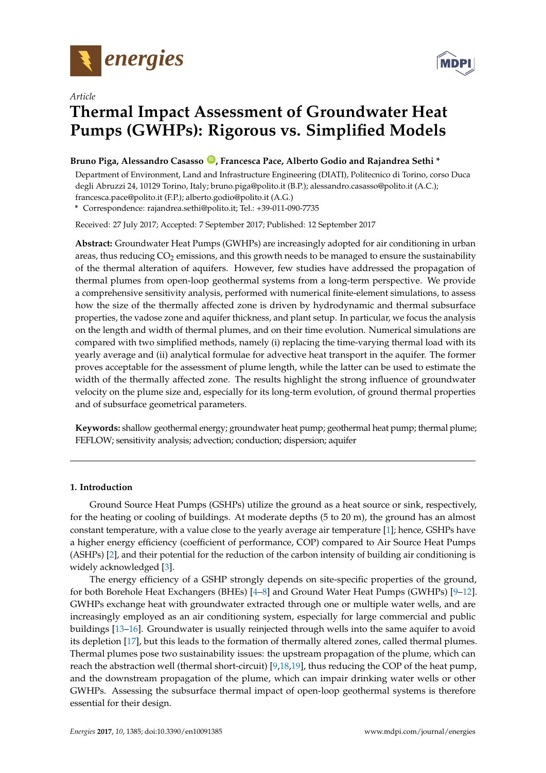



## *Article* **Thermal Impact Assessment of Groundwater Heat Pumps (GWHPs): Rigorous vs. Simplified Models**

## **Bruno Piga, Alessandro Casasso [ID](https://orcid.org/0000-0001-6685-1383) , Francesca Pace, Alberto Godio and Rajandrea Sethi \***

Department of Environment, Land and Infrastructure Engineering (DIATI), Politecnico di Torino, corso Duca degli Abruzzi 24, 10129 Torino, Italy; bruno.piga@polito.it (B.P.); alessandro.casasso@polito.it (A.C.); francesca.pace@polito.it (F.P.); alberto.godio@polito.it (A.G.)

**\*** Correspondence: rajandrea.sethi@polito.it; Tel.: +39-011-090-7735

Received: 27 July 2017; Accepted: 7 September 2017; Published: 12 September 2017

**Abstract:** Groundwater Heat Pumps (GWHPs) are increasingly adopted for air conditioning in urban areas, thus reducing  $CO<sub>2</sub>$  emissions, and this growth needs to be managed to ensure the sustainability of the thermal alteration of aquifers. However, few studies have addressed the propagation of thermal plumes from open-loop geothermal systems from a long-term perspective. We provide a comprehensive sensitivity analysis, performed with numerical finite-element simulations, to assess how the size of the thermally affected zone is driven by hydrodynamic and thermal subsurface properties, the vadose zone and aquifer thickness, and plant setup. In particular, we focus the analysis on the length and width of thermal plumes, and on their time evolution. Numerical simulations are compared with two simplified methods, namely (i) replacing the time-varying thermal load with its yearly average and (ii) analytical formulae for advective heat transport in the aquifer. The former proves acceptable for the assessment of plume length, while the latter can be used to estimate the width of the thermally affected zone. The results highlight the strong influence of groundwater velocity on the plume size and, especially for its long-term evolution, of ground thermal properties and of subsurface geometrical parameters.

**Keywords:** shallow geothermal energy; groundwater heat pump; geothermal heat pump; thermal plume; FEFLOW; sensitivity analysis; advection; conduction; dispersion; aquifer

### **1. Introduction**

Ground Source Heat Pumps (GSHPs) utilize the ground as a heat source or sink, respectively, for the heating or cooling of buildings. At moderate depths (5 to 20 m), the ground has an almost constant temperature, with a value close to the yearly average air temperature [1]; hence, GSHPs have a higher energy efficiency (coefficient of performance, COP) compared to Air Source Heat Pumps (ASHPs) [2], and their potential for the reduction of the carbon intensity of building air conditioning is widely acknowledged [3].

The energy efficiency of a GSHP strongly depends on site-specific properties of the ground, for both Borehole Heat Exchangers (BHEs) [4–8] and Ground Water Heat Pumps (GWHPs) [9–12]. GWHPs exchange heat with groundwater extracted through one or multiple water wells, and are increasingly employed as an air conditioning system, especially for large commercial and public buildings [13–16]. Groundwater is usually reinjected through wells into the same aquifer to avoid its depletion [17], but this leads to the formation of thermally altered zones, called thermal plumes. Thermal plumes pose two sustainability issues: the upstream propagation of the plume, which can reach the abstraction well (thermal short-circuit) [9,18,19], thus reducing the COP of the heat pump, and the downstream propagation of the plume, which can impair drinking water wells or other GWHPs. Assessing the subsurface thermal impact of open-loop geothermal systems is therefore essential for their design.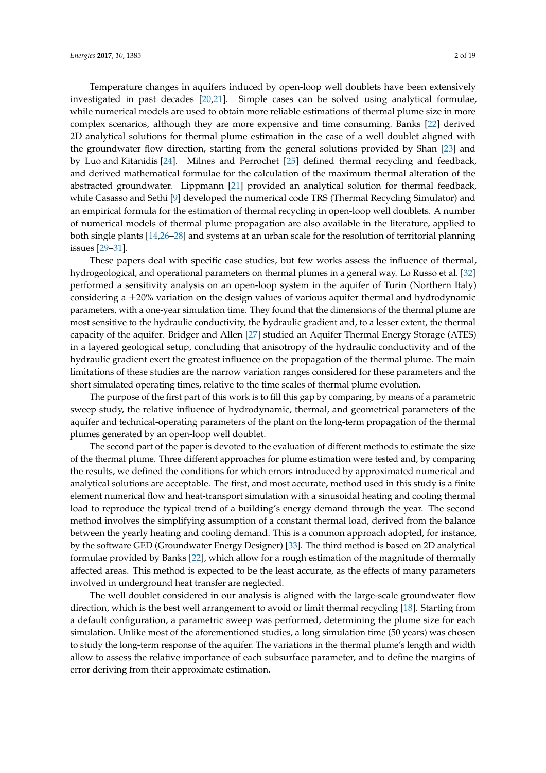Temperature changes in aquifers induced by open-loop well doublets have been extensively investigated in past decades [20,21]. Simple cases can be solved using analytical formulae, while numerical models are used to obtain more reliable estimations of thermal plume size in more complex scenarios, although they are more expensive and time consuming. Banks [22] derived 2D analytical solutions for thermal plume estimation in the case of a well doublet aligned with the groundwater flow direction, starting from the general solutions provided by Shan [23] and by Luo and Kitanidis [24]. Milnes and Perrochet [25] defined thermal recycling and feedback, and derived mathematical formulae for the calculation of the maximum thermal alteration of the abstracted groundwater. Lippmann [21] provided an analytical solution for thermal feedback, while Casasso and Sethi [9] developed the numerical code TRS (Thermal Recycling Simulator) and an empirical formula for the estimation of thermal recycling in open-loop well doublets. A number of numerical models of thermal plume propagation are also available in the literature, applied to both single plants [14,26–28] and systems at an urban scale for the resolution of territorial planning issues [29–31].

These papers deal with specific case studies, but few works assess the influence of thermal, hydrogeological, and operational parameters on thermal plumes in a general way. Lo Russo et al. [32] performed a sensitivity analysis on an open-loop system in the aquifer of Turin (Northern Italy) considering a  $\pm$ 20% variation on the design values of various aquifer thermal and hydrodynamic parameters, with a one-year simulation time. They found that the dimensions of the thermal plume are most sensitive to the hydraulic conductivity, the hydraulic gradient and, to a lesser extent, the thermal capacity of the aquifer. Bridger and Allen [27] studied an Aquifer Thermal Energy Storage (ATES) in a layered geological setup, concluding that anisotropy of the hydraulic conductivity and of the hydraulic gradient exert the greatest influence on the propagation of the thermal plume. The main limitations of these studies are the narrow variation ranges considered for these parameters and the short simulated operating times, relative to the time scales of thermal plume evolution.

The purpose of the first part of this work is to fill this gap by comparing, by means of a parametric sweep study, the relative influence of hydrodynamic, thermal, and geometrical parameters of the aquifer and technical-operating parameters of the plant on the long-term propagation of the thermal plumes generated by an open-loop well doublet.

The second part of the paper is devoted to the evaluation of different methods to estimate the size of the thermal plume. Three different approaches for plume estimation were tested and, by comparing the results, we defined the conditions for which errors introduced by approximated numerical and analytical solutions are acceptable. The first, and most accurate, method used in this study is a finite element numerical flow and heat-transport simulation with a sinusoidal heating and cooling thermal load to reproduce the typical trend of a building's energy demand through the year. The second method involves the simplifying assumption of a constant thermal load, derived from the balance between the yearly heating and cooling demand. This is a common approach adopted, for instance, by the software GED (Groundwater Energy Designer) [33]. The third method is based on 2D analytical formulae provided by Banks [22], which allow for a rough estimation of the magnitude of thermally affected areas. This method is expected to be the least accurate, as the effects of many parameters involved in underground heat transfer are neglected.

The well doublet considered in our analysis is aligned with the large-scale groundwater flow direction, which is the best well arrangement to avoid or limit thermal recycling [18]. Starting from a default configuration, a parametric sweep was performed, determining the plume size for each simulation. Unlike most of the aforementioned studies, a long simulation time (50 years) was chosen to study the long-term response of the aquifer. The variations in the thermal plume's length and width allow to assess the relative importance of each subsurface parameter, and to define the margins of error deriving from their approximate estimation.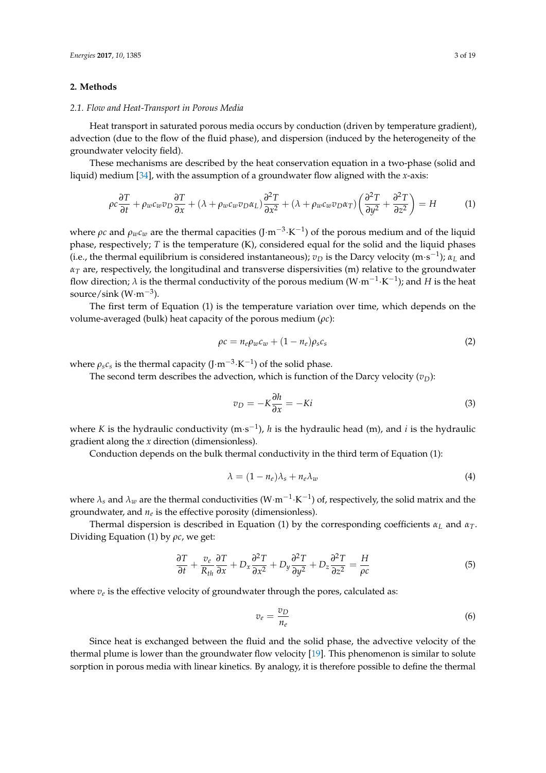#### **2. Methods**

#### *2.1. Flow and Heat-Transport in Porous Media*

Heat transport in saturated porous media occurs by conduction (driven by temperature gradient), advection (due to the flow of the fluid phase), and dispersion (induced by the heterogeneity of the groundwater velocity field).

These mechanisms are described by the heat conservation equation in a two-phase (solid and liquid) medium [34], with the assumption of a groundwater flow aligned with the *x*-axis:

$$
\rho c \frac{\partial T}{\partial t} + \rho_w c_w v_D \frac{\partial T}{\partial x} + (\lambda + \rho_w c_w v_D \alpha_L) \frac{\partial^2 T}{\partial x^2} + (\lambda + \rho_w c_w v_D \alpha_T) \left(\frac{\partial^2 T}{\partial y^2} + \frac{\partial^2 T}{\partial z^2}\right) = H
$$
 (1)

where  $\rho c$  and  $\rho_w c_w$  are the thermal capacities (J·m<sup>-3</sup>·K<sup>-1</sup>) of the porous medium and of the liquid phase, respectively; *T* is the temperature (K), considered equal for the solid and the liquid phases (i.e., the thermal equilibrium is considered instantaneous);  $v_D$  is the Darcy velocity (m·s<sup>-1</sup>);  $\alpha_L$  and  $\alpha_T$  are, respectively, the longitudinal and transverse dispersivities (m) relative to the groundwater flow direction;  $\lambda$  is the thermal conductivity of the porous medium (W·m<sup>-1</sup>·K<sup>-1</sup>); and *H* is the heat source/sink (W·m−<sup>3</sup> ).

The first term of Equation (1) is the temperature variation over time, which depends on the volume-averaged (bulk) heat capacity of the porous medium (*ρc*):

$$
\rho c = n_e \rho_w c_w + (1 - n_e) \rho_s c_s \tag{2}
$$

where  $\rho_s c_s$  is the thermal capacity (J·m<sup>-3</sup>·K<sup>-1</sup>) of the solid phase.

The second term describes the advection, which is function of the Darcy velocity  $(v<sub>D</sub>)$ :

$$
v_D = -K \frac{\partial h}{\partial x} = -Ki \tag{3}
$$

where *K* is the hydraulic conductivity (m·s<sup>-1</sup>), *h* is the hydraulic head (m), and *i* is the hydraulic gradient along the *x* direction (dimensionless).

Conduction depends on the bulk thermal conductivity in the third term of Equation (1):

$$
\lambda = (1 - n_e)\lambda_s + n_e\lambda_w \tag{4}
$$

where  $\lambda_s$  and  $\lambda_w$  are the thermal conductivities (W·m<sup>-1</sup>·K<sup>-1</sup>) of, respectively, the solid matrix and the groundwater, and *n<sup>e</sup>* is the effective porosity (dimensionless).

Thermal dispersion is described in Equation (1) by the corresponding coefficients  $\alpha_L$  and  $\alpha_T$ . Dividing Equation (1) by *ρc*, we get:

$$
\frac{\partial T}{\partial t} + \frac{v_e}{R_{th}} \frac{\partial T}{\partial x} + D_x \frac{\partial^2 T}{\partial x^2} + D_y \frac{\partial^2 T}{\partial y^2} + D_z \frac{\partial^2 T}{\partial z^2} = \frac{H}{\rho c}
$$
(5)

where *v<sup>e</sup>* is the effective velocity of groundwater through the pores, calculated as:

$$
v_e = \frac{v_D}{n_e} \tag{6}
$$

Since heat is exchanged between the fluid and the solid phase, the advective velocity of the thermal plume is lower than the groundwater flow velocity [19]. This phenomenon is similar to solute sorption in porous media with linear kinetics. By analogy, it is therefore possible to define the thermal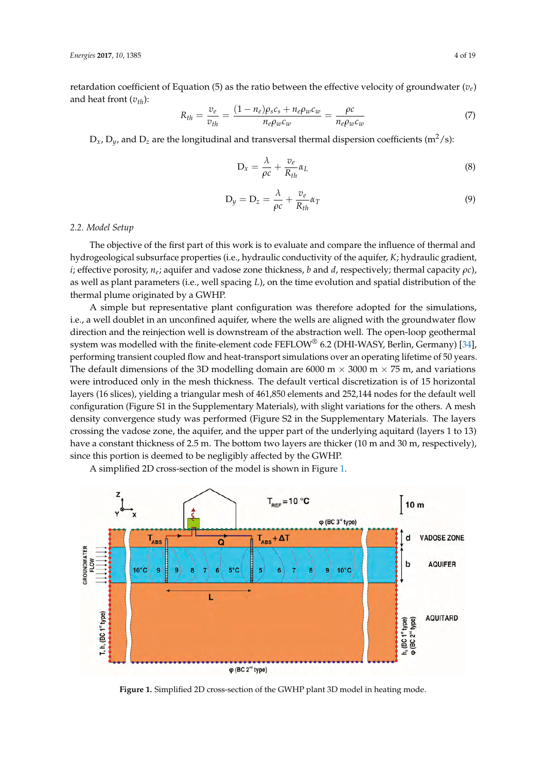retardation coefficient of Equation (5) as the ratio between the effective velocity of groundwater  $(v_e)$ and heat front (*vth*):

$$
R_{th} = \frac{v_e}{v_{th}} = \frac{(1 - n_e)\rho_s c_s + n_e \rho_w c_w}{n_e \rho_w c_w} = \frac{\rho c}{n_e \rho_w c_w} \tag{7}
$$

 $D_x$ ,  $D_y$ , and  $D_z$  are the longitudinal and transversal thermal dispersion coefficients (m<sup>2</sup>/s):

$$
D_x = \frac{\lambda}{\rho c} + \frac{v_e}{R_{th}} \alpha_L \tag{8}
$$

$$
D_y = D_z = \frac{\lambda}{\rho c} + \frac{v_e}{R_{th}} \alpha_T \tag{9}
$$

#### *2.2. Model Setup 2.2. Model Setup*

The objective of the first part of this work is to evaluate and compare the influence of thermal and The objective of the first part of this work is to evaluate and compare the influence of thermal hydrogeological subsurface properties (i.e., hydraulic conductivity of the aquifer, *K*; hydraulic gradient, *i*; effective porosity,  $n_e$ ; aquifer and vadose zone thickness, *b* and *d*, respectively; thermal capacity  $\rho c$ ), as well as plant parameters (i.e., well spacing  $L$ ), on the time evolution and spatial distribution of the thermal plume originated by a GWHP. thermal plume originated by a GWHP.

A simple but representative plant configuration was therefore adopted for the simulations, i.e., a well doublet in an unconfined aquifer, where the wells are aligned with the groundwater flow direction and the reinjection well is downstream of the abstraction well. The open-loop geothermal direction and the reinjection well is downstream of the abstraction well. The open-loop geothermal<br>system was modelled with the finite-element code FEFLOW® 6.2 (DHI-WASY, Berlin, Germany) [34], performing transient coupled flow and heat-transport simulations over an operating lifetime of 50 years. The default dimensions of the 3D modelling domain are 6000 m  $\times$  3000 m  $\times$  75 m, and variations were introduced only in the mesh thickness. The default vertical discretization is of 15 horizontal were introduced only in the mesh thickness. The default vertical discretization is of 15 horizontal<br>layers (16 slices), yielding a triangular mesh of 461,850 elements and 252,144 nodes for the default well configuration (Figure S1 in the Supplementary Materials), with slight variations for the others. A mesh density convergence study was performed (Figure S2 in the Supplementary Materials. The layers crossing the vadose zone, the aquifer, and the upper part of the underlying aquitard (layers 1 to 13) have a constant thickness of 2.5 m. The bottom two layers are thicker (10 m and 30 m, respectively), since this portion is deemed to be negligibly affected by the GWHP.

A simplified 2D cross-section of the model is shown in Figure 1. A simplified 2D cross-section of the model is shown in Figure 1.



**Figure 1.** Simplified 2D cross-section of the GWHP plant 3D model in heating mode. **Figure 1.** Simplified 2D cross-section of the GWHP plant 3D model in heating mode.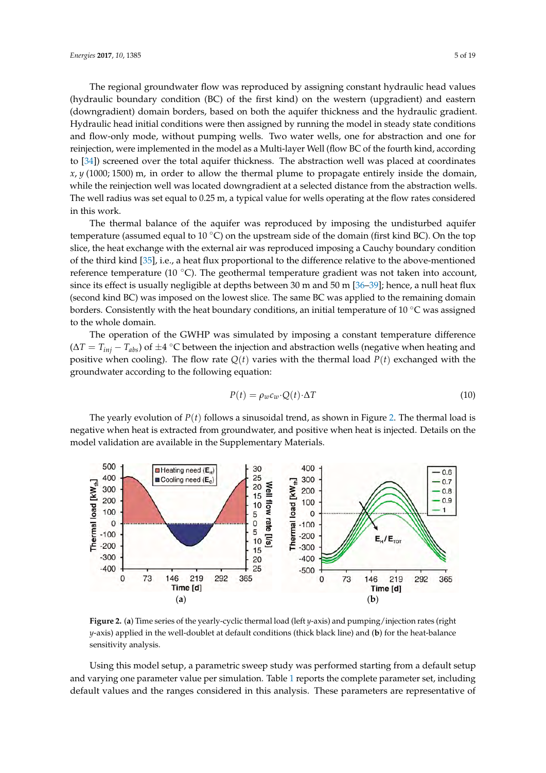The regional groundwater flow was reproduced by assigning constant hydraulic head values (hydraulic boundary condition (BC) of the first kind) on the western (upgradient) and eastern (downgradient) domain borders, based on both the aquifer thickness and the hydraulic gradient. Hydraulic head initial conditions were then assigned by running the model in steady state conditions and flow-only mode, without pumping wells. Two water wells, one for abstraction and one for reinjection, were implemented in the model as a Multi-layer Well (flow BC of the fourth kind, according to [34]) screened over the total aquifer thickness. The abstraction well was placed at coordinates *x*, *y* (1000; 1500) m, in order to allow the thermal plume to propagate entirely inside the domain, while the reinjection well was located downgradient at a selected distance from the abstraction wells. *Energies* **2017**, *10*, 1385 5 of 19 The well radius was set equal to 0.25 m, a typical value for wells operating at the flow rates considered in this work. abstraction well radius was set  $\alpha$  and  $\alpha$  to  $0.25$  m, a typical value for wells operating at the wells operating at the wells operating at the wells operating at the wells operating at the wells operating at the well

The thermal balance of the aquifer was reproduced by imposing the undisturbed aquifer temperature (assumed equal to 10 °C) on the upstream side of the domain (first kind BC). On the top slice, the heat exchange with the external air was reproduced imposing a Cauchy boundary condition of the third kind [35], i.e., a heat flux proportional to the difference relative to the above-mentioned reference temperature (10 °C). The geothermal temperature gradient was not taken into account, since its effect is usually negligible at depths between 30 m and 50 m [36–39]; hence, a null heat flux (second kind BC) was imposed on the lowest slice. The same BC was applied to the remaining domain borders. Consistently with the heat boundary conditions, an initial temperature of 10 °C was assigned to the whole domain. Consistently with the heat borders. Consistently with the heat boundary conditions, and in

The operation of the GWHP was simulated by imposing a constant temperature difference  $(\Delta T = T_{inj} - T_{abs})$  of  $\pm 4$  °C between the injection and abstraction wells (negative when heating and positive when cooling). The flow rate  $Q(t)$  varies with the thermal load  $P(t)$  exchanged with the groundwater according to the following equation:

$$
P(t) = \rho_w c_w \cdot Q(t) \cdot \Delta T \tag{10}
$$

The yearly evolution of  $P(t)$  follows a sinusoidal trend, as shown in Figure 2. The thermal load is negative when heat is extracted from groundwater, and positive when heat is injected. Details on the is negative when heat is extracted from groundwater, and positive when heat is injected. Details on model validation are available in the Supplementary Materials. the model validation are available in the Supplementary Materials.



Figure 2. (a) Time series of the yearly-cyclic thermal load (left y-axis) and pumping/injection rates (right y-axis) applied in the well-doublet at default conditions (thick black line) and (b) for the heat-balance ensitivity analysis.

Using this model setup, a parametric sweep study was performed starting from a default setup Using this model setup, a parametric sweep study was performed starting from a default setup and varying one parameter value per simulation. Table 1 reports the complete parameter set, and varying one parameter value per simulation. Table 1 reports the complete parameter set, including default values and the ranges considered in this analysis. These parameters are representative of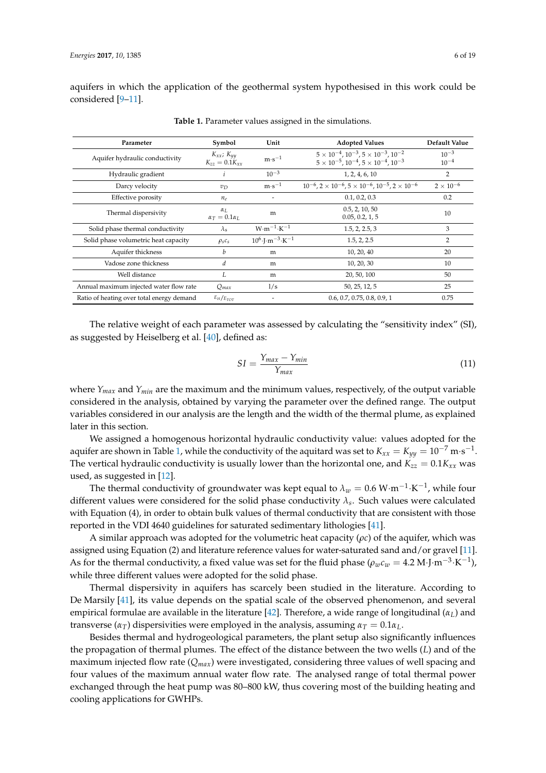aquifers in which the application of the geothermal system hypothesised in this work could be considered [9–11].

| Parameter                                 | Symbol                                       | Unit                                               | <b>Adopted Values</b>                                                                                                              | Default Value          |
|-------------------------------------------|----------------------------------------------|----------------------------------------------------|------------------------------------------------------------------------------------------------------------------------------------|------------------------|
| Aquifer hydraulic conductivity            | $K_{xx}$ ; $K_{yy}$<br>$K_{zz} = 0.1 K_{rr}$ | $m·s^{-1}$                                         | $5 \times 10^{-4}$ , $10^{-3}$ , $5 \times 10^{-3}$ , $10^{-2}$<br>$5 \times 10^{-5}$ , $10^{-4}$ , $5 \times 10^{-4}$ , $10^{-3}$ | $10^{-3}$<br>$10^{-4}$ |
| Hydraulic gradient                        | i                                            | $10^{-3}$                                          | 1, 2, 4, 6, 10                                                                                                                     | 2                      |
| Darcy velocity                            | $v_D$                                        | $m·s^{-1}$                                         | $10^{-6}$ , $2 \times 10^{-6}$ , $5 \times 10^{-6}$ , $10^{-5}$ , $2 \times 10^{-6}$                                               | $2 \times 10^{-6}$     |
| Effective porosity                        | $n_e$                                        |                                                    | 0.1, 0.2, 0.3                                                                                                                      | 0.2                    |
| Thermal dispersivity                      | $\alpha_{L}$<br>$\alpha_T = 0.1 \alpha_L$    | m                                                  | 0.5, 2, 10, 50<br>0.05, 0.2, 1, 5                                                                                                  | 10                     |
| Solid phase thermal conductivity          | $\lambda_{\rm s}$                            | $W \cdot m^{-1} \cdot K^{-1}$                      | 1.5, 2, 2.5, 3                                                                                                                     | 3                      |
| Solid phase volumetric heat capacity      | $\rho_s c_s$                                 | $10^6 \cdot$ J $\cdot$ m $^{-3}$ $\cdot$ K $^{-1}$ | 1.5, 2, 2.5                                                                                                                        | 2                      |
| Aquifer thickness                         | b                                            | m                                                  | 10, 20, 40                                                                                                                         | 20                     |
| Vadose zone thickness                     | d                                            | m                                                  | 10, 20, 30                                                                                                                         | 10                     |
| Well distance                             | L                                            | m                                                  | 20, 50, 100                                                                                                                        | 50                     |
| Annual maximum injected water flow rate   | $Q_{max}$                                    | 1/s                                                | 50, 25, 12, 5                                                                                                                      | 25                     |
| Ratio of heating over total energy demand | $E_H/E_{TOT}$                                |                                                    | 0.6, 0.7, 0.75, 0.8, 0.9, 1                                                                                                        | 0.75                   |

**Table 1.** Parameter values assigned in the simulations.

The relative weight of each parameter was assessed by calculating the "sensitivity index" (SI), as suggested by Heiselberg et al. [40], defined as:

$$
SI = \frac{Y_{max} - Y_{min}}{Y_{max}}
$$
\n<sup>(11)</sup>

where  $Y_{max}$  and  $Y_{min}$  are the maximum and the minimum values, respectively, of the output variable considered in the analysis, obtained by varying the parameter over the defined range. The output variables considered in our analysis are the length and the width of the thermal plume, as explained later in this section.

We assigned a homogenous horizontal hydraulic conductivity value: values adopted for the aquifer are shown in Table 1, while the conductivity of the aquitard was set to  $K_{xx}=K_{yy}=10^{-7}$  m·s<sup>-1</sup>. The vertical hydraulic conductivity is usually lower than the horizontal one, and  $K_{zz} = 0.1K_{xx}$  was used, as suggested in [12].

The thermal conductivity of groundwater was kept equal to  $\lambda_w = 0.6 \text{ W} \cdot \text{m}^{-1} \cdot \text{K}^{-1}$ , while four different values were considered for the solid phase conductivity *λ<sup>s</sup>* . Such values were calculated with Equation (4), in order to obtain bulk values of thermal conductivity that are consistent with those reported in the VDI 4640 guidelines for saturated sedimentary lithologies [41].

A similar approach was adopted for the volumetric heat capacity (*ρc*) of the aquifer, which was assigned using Equation (2) and literature reference values for water-saturated sand and/or gravel [11]. As for the thermal conductivity, a fixed value was set for the fluid phase ( $\rho_w c_w = 4.2 \text{ M} \cdot \text{J} \cdot \text{m}^{-3} \cdot \text{K}^{-1}$ ), while three different values were adopted for the solid phase.

Thermal dispersivity in aquifers has scarcely been studied in the literature. According to De Marsily [41], its value depends on the spatial scale of the observed phenomenon, and several empirical formulae are available in the literature [42]. Therefore, a wide range of longitudinal (*αL*) and transverse ( $\alpha_T$ ) dispersivities were employed in the analysis, assuming  $\alpha_T = 0.1 \alpha_L$ .

Besides thermal and hydrogeological parameters, the plant setup also significantly influences the propagation of thermal plumes. The effect of the distance between the two wells (*L*) and of the maximum injected flow rate (*Qmax*) were investigated, considering three values of well spacing and four values of the maximum annual water flow rate. The analysed range of total thermal power exchanged through the heat pump was 80–800 kW, thus covering most of the building heating and cooling applications for GWHPs.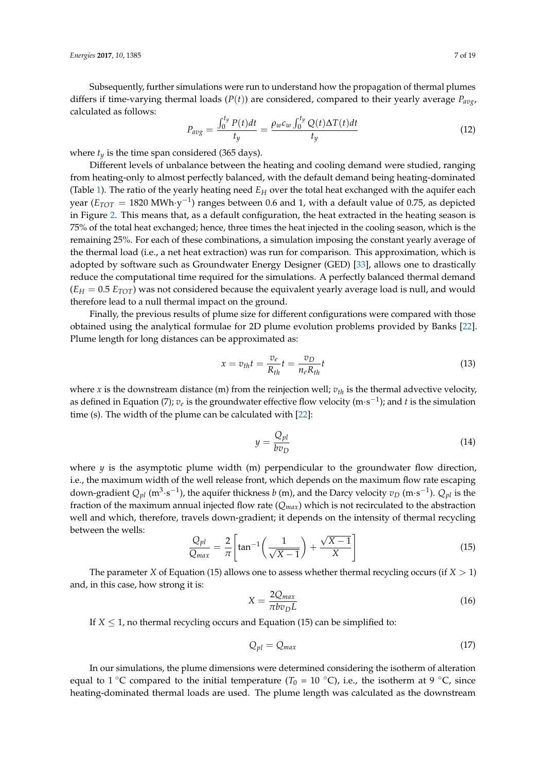Subsequently, further simulations were run to understand how the propagation of thermal plumes differs if time-varying thermal loads ( $P(t)$ ) are considered, compared to their yearly average  $P_{avg}$ , calculated as follows:

$$
P_{avg} = \frac{\int_0^{t_y} P(t)dt}{t_y} = \frac{\rho_w c_w \int_0^{t_y} Q(t) \Delta T(t)dt}{t_y} \tag{12}
$$

where  $t_y$  is the time span considered (365 days).

Different levels of unbalance between the heating and cooling demand were studied, ranging from heating-only to almost perfectly balanced, with the default demand being heating-dominated (Table 1). The ratio of the yearly heating need *E<sup>H</sup>* over the total heat exchanged with the aquifer each year ( $E_{TOT} = 1820 \ \mathrm{MWh}\cdot\mathrm{y}^{-1}$ ) ranges between 0.6 and 1, with a default value of 0.75, as depicted in Figure 2. This means that, as a default configuration, the heat extracted in the heating season is 75% of the total heat exchanged; hence, three times the heat injected in the cooling season, which is the remaining 25%. For each of these combinations, a simulation imposing the constant yearly average of the thermal load (i.e., a net heat extraction) was run for comparison. This approximation, which is adopted by software such as Groundwater Energy Designer (GED) [33], allows one to drastically reduce the computational time required for the simulations. A perfectly balanced thermal demand  $(E_H = 0.5 E_{TOT})$  was not considered because the equivalent yearly average load is null, and would therefore lead to a null thermal impact on the ground.

Finally, the previous results of plume size for different configurations were compared with those obtained using the analytical formulae for 2D plume evolution problems provided by Banks [22]. Plume length for long distances can be approximated as:

$$
x = v_{th}t = \frac{v_e}{R_{th}}t = \frac{v_D}{n_e R_{th}}t
$$
\n(13)

where *x* is the downstream distance (m) from the reinjection well;  $v_{th}$  is the thermal advective velocity, as defined in Equation (7);  $v_e$  is the groundwater effective flow velocity (m·s<sup>-1</sup>); and  $t$  is the simulation time (s). The width of the plume can be calculated with [22]:

$$
y = \frac{Q_{pl}}{bv_D} \tag{14}
$$

where  $y$  is the asymptotic plume width  $(m)$  perpendicular to the groundwater flow direction, i.e., the maximum width of the well release front, which depends on the maximum flow rate escaping down-gradient  $Q_{pl}$  (m<sup>3</sup>·s<sup>-1</sup>), the aquifer thickness *b* (m), and the Darcy velocity  $v_D$  (m·s<sup>-1</sup>).  $Q_{pl}$  is the fraction of the maximum annual injected flow rate (*Qmax*) which is not recirculated to the abstraction well and which, therefore, travels down-gradient; it depends on the intensity of thermal recycling between the wells: √

$$
\frac{Q_{pl}}{Q_{max}} = \frac{2}{\pi} \left[ \tan^{-1} \left( \frac{1}{\sqrt{X-1}} \right) + \frac{\sqrt{X-1}}{X} \right]
$$
(15)

The parameter *X* of Equation (15) allows one to assess whether thermal recycling occurs (if *X* > 1) and, in this case, how strong it is:

$$
X = \frac{2Q_{max}}{\pi b v_D L}
$$
 (16)

If  $X \leq 1$ , no thermal recycling occurs and Equation (15) can be simplified to:

$$
Q_{pl} = Q_{max} \tag{17}
$$

In our simulations, the plume dimensions were determined considering the isotherm of alteration equal to 1 °C compared to the initial temperature ( $T_0 = 10$  °C), i.e., the isotherm at 9 °C, since heating-dominated thermal loads are used. The plume length was calculated as the downstream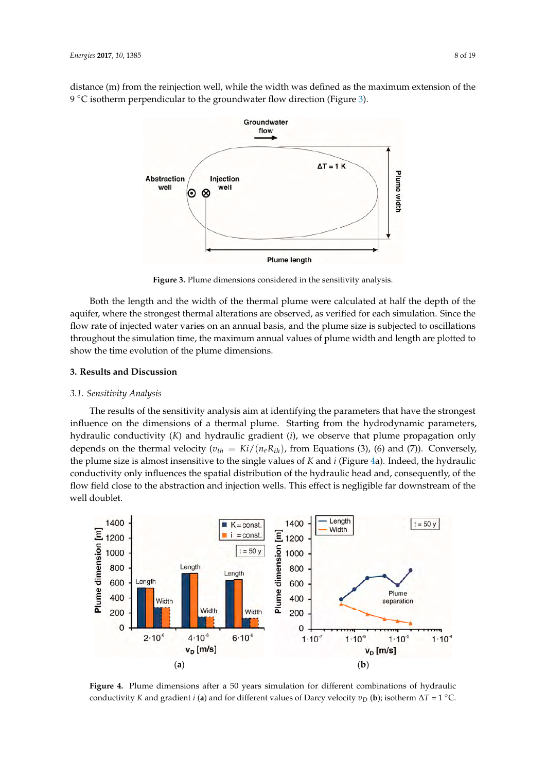distance (m) from the reinjection well, while the width was defined as the maximum extension of the  $9 °C$  isotherm perpendicular to the groundwater flow direction (Figure 3). downstream the religious well, while the width was defined as the maximum extension of



Figure 3. Plume dimensions considered in the sensitivity analysis.

Both the length and the width of the thermal plume were calculated at half the depth of the Both the length and the width of the thermal plume were calculated at half the depth of the aquifer, where the strongest thermal alterations are observed, as verified for each simulation. Since the flow rate of injected water varies on an annual basis, and the plume size is subjected to oscillations throughout the simulation time, the maximum annual values of plume width and length are plotted to show the time evolution of the plume dimensions.

### **3. Results and Discussion 3. Results and Discussion**

## *3.1. Sensitivity Analysis 3.1. Sensitivity Analysis*

The results of the sensitivity analysis aim at identifying the parameters that have the strongest The results of the sensitivity analysis aim at identifying the parameters that have the strongest influence on the dimensions of a thermal plume. Starting from the hydrodynamic parameters, influence on the dimensions of a thermal plume. Starting from the hydrodynamic parameters, hydraulic conductivity (K) and hydraulic gradient (*i*), we observe that plume propagation only depends on the thermal velocity ( $v_{th} = Ki/(n_e R_{th})$ , from Equations (3), (6) and (7)). Conversely, the plume size is almost insensitive to the single values of  $K$  and  $i$  (Figure 4a). Indeed, the hydraulic conductivity only influences the spatial distribution of the hydraulic head and, consequently, of the conductivity only influences the spatial distribution of the hydraulic head and, consequently, of the flow field close to the abstraction and injection wells. This effect is negligible far downstream of the flow field close to the abstraction and injection wells. This effect is negligible far downstream of the well doublet. well doublet.



**Figure 4.** Plume dimensions after a 50 years simulation for different combinations of hydraulic **Figure 4.** Plume dimensions after a 50 years simulation for different combinations of hydraulic conductivity K and gradient *i* (a) and for different values of Darcy velocity  $v_D$  (b); isotherm  $\Delta T = 1$  °C.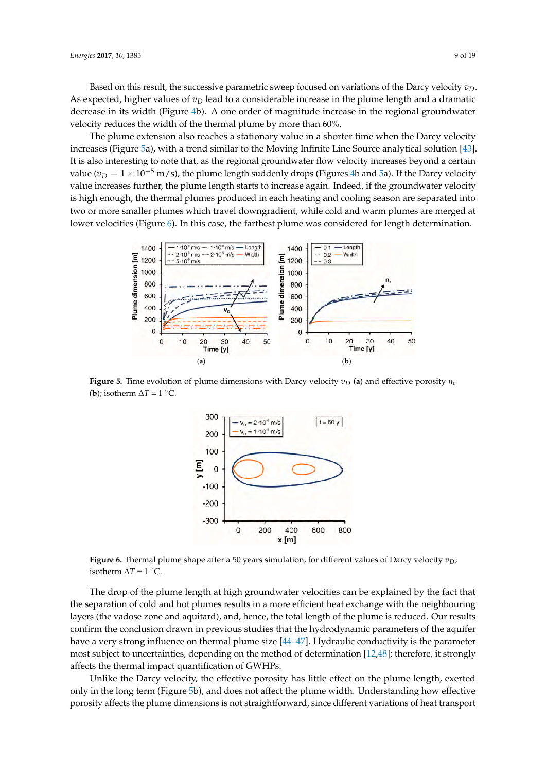Based on this result, the successive parametric sweep focused on variations of the Darcy velocity *vD*. As expected, higher values of  $v<sub>D</sub>$  lead to a considerable increase in the plume length and a dramatic decrease in its width (Figure 4b). A one order of magnitude increase in the regional groundwater *Energies* **2017**, *10*, 1385 9 of 19 velocity reduces the width of the thermal plume by more than 60%.

The plume extension also reaches a stationary value in a shorter time when the Darcy velocity increases (Figure 5a), with a trend similar to the Moving Infinite Line Source analytical solution [43]. It is also interesting to note that, as the regional groundwater flow velocity increases beyond a certain value ( $v_D = 1 \times 10^{-5}$  m/s), the plume length suddenly drops (Figures 4b and 5a). If the Darcy velocity value increases further, the plume length starts to increase again. Indeed, if the groundwater velocity is high enough, the thermal plumes produced in each heating and cooling season are separated into *Energies* **2017**, *10*, 1385 9 of 19 two or more smaller plumes which travel downgradient, while cold and warm plumes are merged at lower velocities (Figure 6). In this case, the farthest plume was considered for length determination. determination  $\alpha$ , it strongly affects the thermal impact  $\alpha$  is determined the theory



**Figure 5.** Time evolution of plume dimensions with Darcy velocity ݒ) **a**) and effective porosity ݊ **Figure 5.** Time evolution of plume dimensions with Darcy velocity  $v_D$  (a) and effective porosity  $n_e$ **(b)**; isotherm  $\Delta T = 1 \degree \text{C}$ . **Figure 5.** Time evolution of plume dimensions with Darcy velocity  $v_D$  (a) and effective porosity  $n_e$ 



Figure 6. Thermal plume shape after a 50 years simulation, for different values of Darcy velocity  $v_D$ ; isotherm ∆*T* = 1 °C. isotherm ∆*T* = 1 ◦C.

The drop of the plume length at high groundwater velocities can be explained by the fact that the separation of cold and hot plumes results in a more efficient heat exchange with the neighbouring  $\alpha$  changes of  $\alpha$  results in a decrease of  $\alpha$  fine the the effect the effective vector composition of  $\alpha$ confirm the conclusion drawn in previous studies that the hydrodynamic parameters of the aquifer have a very strong influence on thermal plume size [44–47]. Hydraulic conductivity is the parameter most subject to uncertainties, depending on the method of determination [12,48]; therefore, it strongly affects the thermal impact quantification of GWHPs. persuad of contains in a slight decrease in the theory of the theory was are negative layers (the vadose zone and aquitard), and, hence, the total length of the plume is reduced. Our results

(Equation  $\frac{1}{2}$ ), since  $\frac{1}{2}$  is usually less conductive than the solid phase ( $\frac{1}{2}$   $\frac{1}{2}$ ), and the solid phase ( $\frac{1}{2}$ Unlike the Darcy velocity, the effective porosity has little effect on the plume length, exerted only in the long term (Figure 5b), and does not affect the plume width. Understanding how effective porosity affects the plume dimensions is not straightforward, since different variations of heat transport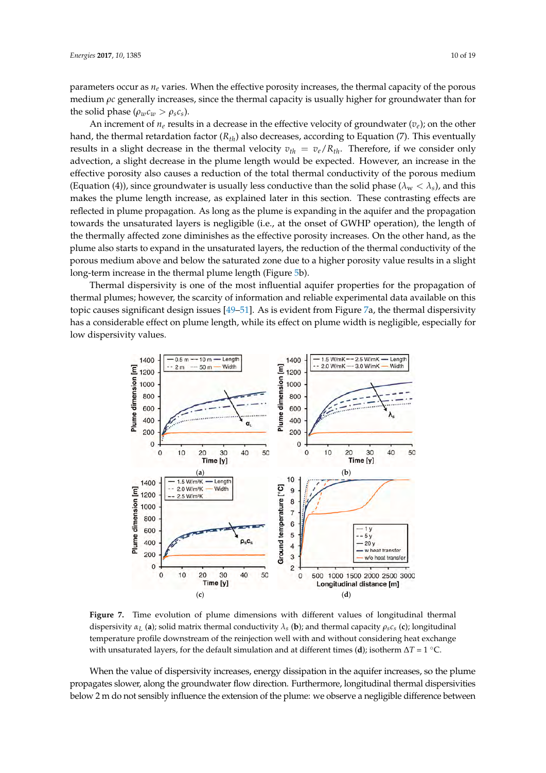parameters occur as *n<sup>e</sup>* varies. When the effective porosity increases, the thermal capacity of the porous medium *ρc* generally increases, since the thermal capacity is usually higher for groundwater than for the solid phase ( $\rho_w c_w > \rho_s c_s$ ).

An increment of  $n_e$  results in a decrease in the effective velocity of groundwater  $(v_e)$ ; on the other hand, the thermal retardation factor (*Rth*) also decreases, according to Equation (7). This eventually results in a slight decrease in the thermal velocity  $v_{th} = v_e/R_{th}$ . Therefore, if we consider only advection, a slight decrease in the plume length would be expected. However, an increase in the effective porosity also causes a reduction of the total thermal conductivity of the porous medium (Equation (4)), since groundwater is usually less conductive than the solid phase ( $\lambda_w < \lambda_s$ ), and this makes the plume length increase, as explained later in this section. These contrasting effects are reflected in plume propagation. As long as the plume is expanding in the aquifer and the propagation towards the unsaturated layers is negligible (i.e., at the onset of GWHP operation), the length of the thermally affected zone diminishes as the effective porosity increases. On the other hand, as the plume also starts to expand in the unsaturated layers, the reduction of the thermal conductivity of the porous medium above and below the saturated zone due to a higher porosity value results in a slight *Energies* **2017**, *10*, 1385 10 of 19 long-term increase in the thermal plume length (Figure 5b).

Thermal dispersivity is one of the most influential aquifer properties for the propagation of thermal plumes; however, the scarcity of information and reliable experimental data available on this topic causes significant design issues [49–51]. As is evident from Figure 7a, the thermal dispersivity has a considerable effect on plume length, while its effect on plume width is negligible, especially for dispersivity values.<br>dispersivity values.  $\epsilon$ s, nowever, the scarcity of information and rehable experimental data availat



**Figure 7.** Time evolution of plume dimensions with different values of longitudinal thermal dispersivity  $\alpha_L$  (a); solid matrix thermal conductivity  $\lambda_s$  (b); and thermal capacity  $\rho_s c_s$  (c); longitudinal temperature profile downstream of the reinjection well with and without considering heat exchange ∆*T* = 1 °C. with unsaturated layers, for the default simulation and at different times (**d**); isotherm ∆*T* = 1 ◦C.

When the value of dispersivity increases, energy dispersivity in the aquifer increases, so the aquifer increases, so the aquifer increases, so the aquifer increases, so the aquifer increases, so the aquifer increases, so t When the value of dispersivity increases, energy dissipation in the aquifer increases, so the plume propagates slower, along the groundwater flow direction. Furthermore, longitudinal thermal dispersivities below 2 m do not sensibly influence the extension of the plume: we observe a negligible difference between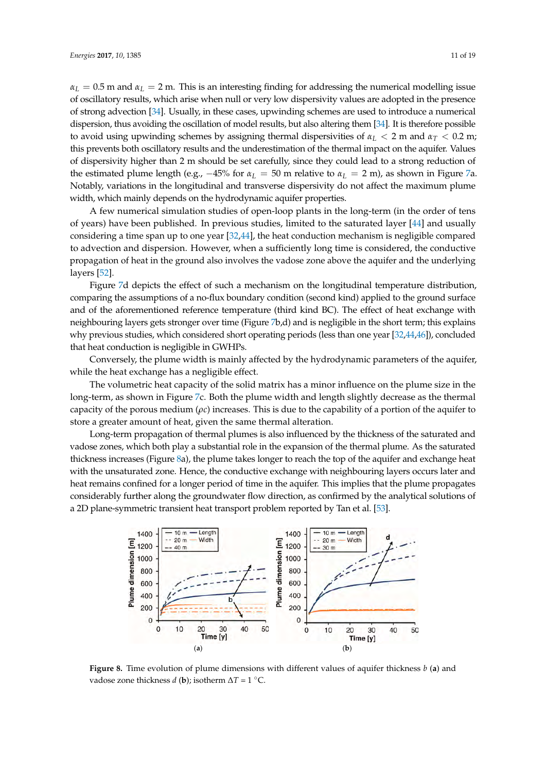$\alpha_L = 0.5$  m and  $\alpha_L = 2$  m. This is an interesting finding for addressing the numerical modelling issue of oscillatory results, which arise when null or very low dispersivity values are adopted in the presence of strong advection [34]. Usually, in these cases, upwinding schemes are used to introduce a numerical dispersion, thus avoiding the oscillation of model results, but also altering them [34]. It is therefore possible to avoid using upwinding schemes by assigning thermal dispersivities of  $\alpha_L < 2$  m and  $\alpha_T < 0.2$  m; this prevents both oscillatory results and the underestimation of the thermal impact on the aquifer. Values of dispersivity higher than 2 m should be set carefully, since they could lead to a strong reduction of the estimated plume length (e.g.,  $-45\%$  for  $\alpha_L = 50$  m relative to  $\alpha_L = 2$  m), as shown in Figure 7a. Notably, variations in the longitudinal and transverse dispersivity do not affect the maximum plume width, which mainly depends on the hydrodynamic aquifer properties.

A few numerical simulation studies of open-loop plants in the long-term (in the order of tens of years) have been published. In previous studies, limited to the saturated layer [44] and usually considering a time span up to one year [32,44], the heat conduction mechanism is negligible compared to advection and dispersion. However, when a sufficiently long time is considered, the conductive *Energies* **2017**, *10*, 1385 11 of 19 propagation of heat in the ground also involves the vadose zone above the aquifer and the underlying<br>' layers [52]. years) have been published. In previous studies, limited to the saturated to the saturated layer  $\mu$ 

Figure 7d depicts the effect of such a mechanism on the longitudinal temperature distribution, comparing the assumptions of a no-flux boundary condition (second kind) applied to the ground surface and of the aforementioned reference temperature (third kind BC). The effect of heat exchange with neighbouring layers gets stronger over time (Figure 7b,d) and is negligible in the short term; this explains why previous studies, which considered short operating periods (less than one year [32,44,46]), concluded that heat conduction is negligible in GWHPs.  $\frac{f}{f}$  and  $\frac{f}{f}$  and the effect of  $\frac{f}{f}$  and  $\frac{f}{f}$  and  $\frac{f}{f}$  and  $\frac{f}{f}$  and  $\frac{f}{f}$  and  $\frac{f}{f}$  and  $\frac{f}{f}$  and  $\frac{f}{f}$  and  $\frac{f}{f}$  and  $\frac{f}{f}$  and  $\frac{f}{f}$  and  $\frac{f}{f}$  and  $\frac{f}{f}$  a

Conversely, the plume width is mainly affected by the hydrodynamic parameters of the aquifer, while the heat exchange has a negligible effect. near exenange has a hegugible encer.

The volumetric heat capacity of the solid matrix has a minor influence on the plume size in the long-term, as shown in Figure 7c. Both the plume width and length slightly decrease as the thermal capacity of the porous medium (*ρc*) increases. This is due to the capability of a portion of the aquifer to store a greater amount of heat, given the same thermal alteration. caler amount of neat, given the same thermal alteration.

Long-term propagation of thermal plumes is also influenced by the thickness of the saturated and vadose zones, which both play a substantial role in the expansion of the thermal plume. As the saturated thickness increases (Figure 8a), the plume takes longer to reach the top of the aquifer and exchange heat with the unsaturated zone. Hence, the conductive exchange with neighbouring layers occurs later and heat remains confined for a longer period of time in the aquifer. This implies that the plume propagates considerably further along the groundwater flow direction, as confirmed by the analytical solutions of a 2D plane-symmetric transient heat transport problem reported by Tan et al. [53]. reaturated zone. Hence, the conductive exchange with neighbouring layers occurs  $\overline{\phantom{a}}$ 



**Figure 8.** Time evolution of plume dimensions with different values of aquifer thickness *b* (**a**) and vadose zone thickness *d* (**b**); isotherm ∆*T* = 1 ◦C.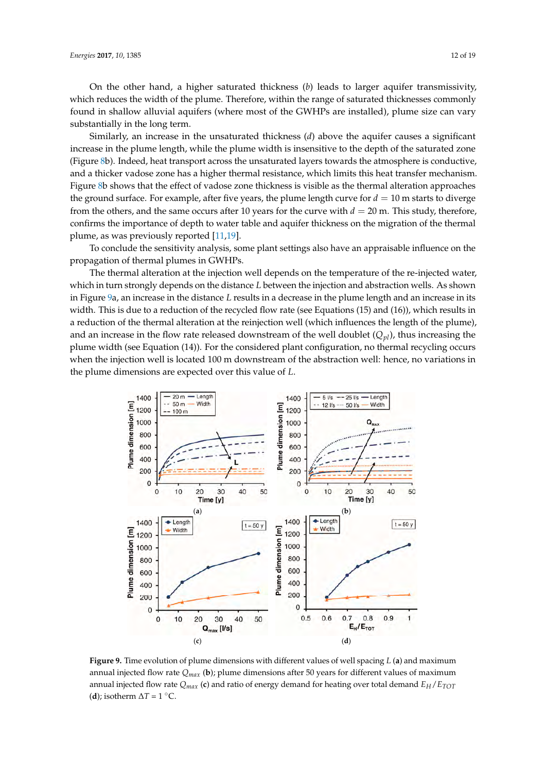On the other hand, a higher saturated thickness (*b*) leads to larger aquifer transmissivity, which reduces the width of the plume. Therefore, within the range of saturated thicknesses commonly found in shallow alluvial aquifers (where most of the GWHPs are installed), plume size can vary substantially in the long term.

Similarly, an increase in the unsaturated thickness (*d*) above the aquifer causes a significant increase in the plume length, while the plume width is insensitive to the depth of the saturated zone (Figure 8b). Indeed, heat transport across the unsaturated layers towards the atmosphere is conductive, and a thicker vadose zone has a higher thermal resistance, which limits this heat transfer mechanism. Figure 8b shows that the effect of vadose zone thickness is visible as the thermal alteration approaches the ground surface. For example, after five years, the plume length curve for  $d = 10$  m starts to diverge from the others, and the same occurs after 10 years for the curve with  $d = 20$  m. This study, therefore, confirms the importance of depth to water table and aquifer thickness on the migration of the thermal plume, as was previously reported [11,19].

To conclude the sensitivity analysis, some plant settings also have an appraisable influence on the propagation of thermal plumes in GWHPs.

The thermal alteration at the injection well depends on the temperature of the re-injected water, which in turn strongly depends on the distance *L* between the injection and abstraction wells. As shown in Figure 9a, an increase in the distance *L* results in a decrease in the plume length and an increase in its width. This is due to a reduction of the recycled flow rate (see Equations (15) and (16)), which results in a reduction of the thermal alteration at the reinjection well (which influences the length of the plume), and an increase in the flow rate released downstream of the well doublet  $(Q_{pl})$ , thus increasing the plume width (see Equation (14)). For the considered plant configuration, no thermal recycling occurs when the injection well is located 100 m downstream of the abstraction well: hence, no variations in the plume dimensions are expected over this value of *L*.  $\mu$  and  $\mu$  are pertured in the distance  $L$ crease in the now rate released downstream of the well doublet  $(\varphi_{pl})$ , thus include



**Figure 9.** Time evolution of plume dimensions with different values of well spacing  $L$  (a) and maximum annual injected flow rate  $Q_{max}$  (**b**); plume dimensions after 50 years for different values of maximum demand ܧு⁄ܧ்ை் (**d**); isotherm ∆*T* = 1 °C. annual injected flow rate *Qmax* (**c**) and ratio of energy demand for heating over total demand *EH*/*ETOT* The injected-water flow rate and, the thermal power exchanged with the ground, has been exchanged with the ground, has been exchanged with the ground, has been exchanged with the ground, has been exchanged with the ground (**d**); isotherm  $\Delta T = 1$  °C.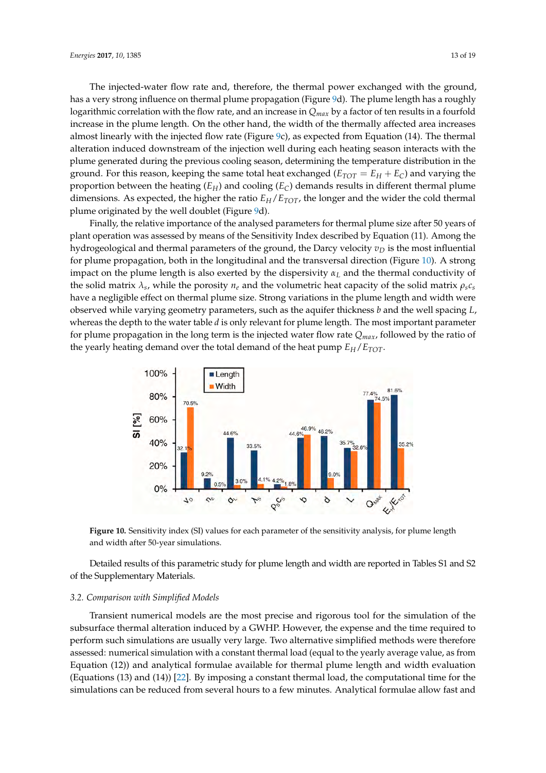The injected-water flow rate and, therefore, the thermal power exchanged with the ground, has a very strong influence on thermal plume propagation (Figure 9d). The plume length has a roughly logarithmic correlation with the flow rate, and an increase in *Qmax* by a factor of ten results in a fourfold increase in the plume length. On the other hand, the width of the thermally affected area increases almost linearly with the injected flow rate (Figure 9c), as expected from Equation (14). The thermal alteration induced downstream of the injection well during each heating season interacts with the plume generated during the previous cooling season, determining the temperature distribution in the ground. For this reason, keeping the same total heat exchanged ( $E_{TOT} = E_H + E_C$ ) and varying the proportion between the heating  $(E_H)$  and cooling  $(E_C)$  demands results in different thermal plume dimensions. As expected, the higher the ratio  $E_H/E_{TOT}$ , the longer and the wider the cold thermal plume originated by the well doublet (Figure 9d).

Finally, the relative importance of the analysed parameters for thermal plume size after 50 years of plant operation was assessed by means of the Sensitivity Index described by Equation (11). Among the plant operation was assessed by means of the Sensitivity Index described by Equation (11). Among the hydrogeological and thermal parameters of the ground, the Darcy velocity  $v_D$  is the most influential for plume propagation, both in the longitudinal and the transversal direction (Figure  $10$ ). A strong impact on the plume length is also exerted by the dispersivity  $\alpha_L$  and the thermal conductivity of the solid matrix  $\lambda_s$ , while the porosity  $n_e$  and the volumetric heat capacity of the solid matrix  $\rho_s c_s$ have a negligible effect on thermal plume size. Strong variations in the plume length and width were observed while varying geometry parameters, such as the aquifer thickness *b* and the well spacing *L*, whereas the depth to the water table *d* is only relevant for plume length. The most important parameter for plume propagation in the long term is the injected water flow rate  $Q_{max}$ , followed by the ratio of the yearly heating demand over the total demand of the heat pump  $E_H/E_{TOT}$ . operation was assessed by means of the sensitivity muck described by Equation (11). And the  $\mathcal{L}_{\text{P}}$  propagation in the foregion the dispersed wider from face  $\mathcal{L}_{\text{max}}$  for plume  $\mathcal{L}_{\text{max}}$ 



**Figure 10.** Sensitivity index (SI) values for each parameter of the sensitivity analysis, for plume **Figure 10.** Sensitivity index (SI) values for each parameter of the sensitivity analysis, for plume length length and width after 50-year simulations. and width after 50-year simulations.

*3.2. Comparison with Simplified Models*  Detailed results of this parametric study for plume length and width are reported in Tables S1 and S2 of the Supplementary Materials. subsurface thermal alteration induced by a GWHP. However, the expense and the time required to time required to

## 3.2. Comparison with Simplified Models were therefore therefore therefore therefore therefore therefore therefore therefore therefore therefore therefore therefore therefore therefore therefore the therefore the therefore

assessed: numerical simulation with a constant thermal load (equal to the yearly average value, as  $\alpha$ Transient numerical models are the most precise and rigorous tool for the simulation of the subsurface thermal alteration induced by a GWHP. However, the expense and the time required to perform such simulations are usually very large. Two alternative simplified methods were therefore assessed: numerical simulation with a constant thermal load (equal to the yearly average value, as from Equation (12)) and analytical formulae available for thermal plume length and width evaluation (Equations (13) and (14)) [22]. By imposing a constant thermal load, the computational time for the comparison the results of the numerical model that the numerical model of the previous paragraph in the previous paragraph in the previous paragraph in the previous paragraph in the previous paragraph in the previous parag simulations can be reduced from several hours to a few minutes. Analytical formulae allow fast and<br>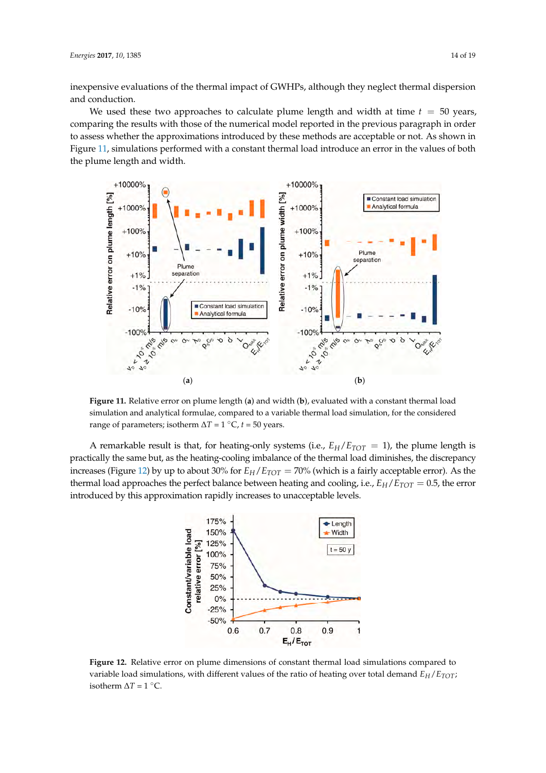inexpensive evaluations of the thermal impact of GWHPs, although they neglect thermal dispersion and conduction.

We used these two approaches to calculate plume length and width at time  $t = 50$  years, comparing the results with those of the numerical model reported in the previous paragraph in order to assess whether the approximations introduced by these methods are acceptable or not. As shown in Figure 11, simulations performed with a constant thermal load introduce an error in the values of both the plume length and width.  $\epsilon_{\text{1}}$ ,  $\epsilon_{\text{2}}$ , the error introduced by the error introduced by the error in the values of



Figure 11. Relative error on plume length (a) and width (b), evaluated with a constant thermal load simulation and analytical formulae, compared to a variable thermal load simulation, for the simulation, for the the simulation and analytical formulae, compared to a variable thermal load simulation, for the considered<br>→ Text of the considered range of parameters; isotherm  $\Delta T = 1$  °C,  $t = 50$  years.

A remarkable result is that, for heating-only systems (i.e.,  $E_H/E_{TOT} = 1$ ), the plume length is practically the same but, as the heating-cooling imbalance of the thermal load diminishes, the discrepancy increases (Figure 12) by up to about 30% for  $E_H/E_{TOT} = 70\%$  (which is a fairly acceptable error). As the thermal load approaches the perfect balance between heating and cooling, i.e.,  $E_H/E_{TOT} = 0.5$ , the error introduced by this approximation rapidly increases to unacceptable levels.



 $t_{\rm t}$  that fact that the effect of peak flow-rates on the injection width of the injection well release from  $\alpha$ considered. The test test of the test entirely one constant the line formula long-term plume length (Figure variable load simulations, with different values of the ratio of heating over total demand  $E_H/E_{TOT}$ ; Soute the  $\Delta t = 1$ . **Figure 12.** Relative error on plume dimensions of constant thermal load simulations compared to **Figure 12.** Relative error on plume dimensions of constant thermal load simulations compared to isotherm  $\Delta T = 1$  °C.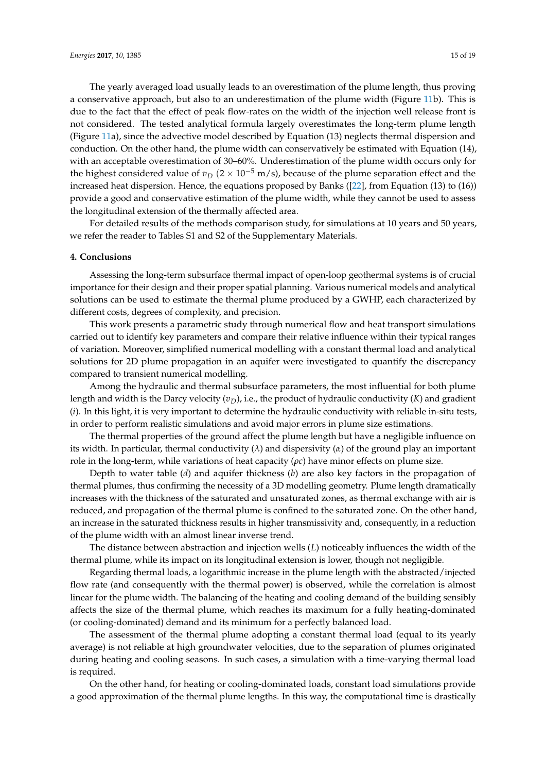The yearly averaged load usually leads to an overestimation of the plume length, thus proving a conservative approach, but also to an underestimation of the plume width (Figure 11b). This is due to the fact that the effect of peak flow-rates on the width of the injection well release front is not considered. The tested analytical formula largely overestimates the long-term plume length (Figure 11a), since the advective model described by Equation (13) neglects thermal dispersion and conduction. On the other hand, the plume width can conservatively be estimated with Equation (14), with an acceptable overestimation of 30–60%. Underestimation of the plume width occurs only for the highest considered value of  $v_D$  (2 × 10<sup>-5</sup> m/s), because of the plume separation effect and the increased heat dispersion. Hence, the equations proposed by Banks ([22], from Equation (13) to (16)) provide a good and conservative estimation of the plume width, while they cannot be used to assess the longitudinal extension of the thermally affected area.

For detailed results of the methods comparison study, for simulations at 10 years and 50 years, we refer the reader to Tables S1 and S2 of the Supplementary Materials.

#### **4. Conclusions**

Assessing the long-term subsurface thermal impact of open-loop geothermal systems is of crucial importance for their design and their proper spatial planning. Various numerical models and analytical solutions can be used to estimate the thermal plume produced by a GWHP, each characterized by different costs, degrees of complexity, and precision.

This work presents a parametric study through numerical flow and heat transport simulations carried out to identify key parameters and compare their relative influence within their typical ranges of variation. Moreover, simplified numerical modelling with a constant thermal load and analytical solutions for 2D plume propagation in an aquifer were investigated to quantify the discrepancy compared to transient numerical modelling.

Among the hydraulic and thermal subsurface parameters, the most influential for both plume length and width is the Darcy velocity  $(v_D)$ , i.e., the product of hydraulic conductivity  $(K)$  and gradient (*i*). In this light, it is very important to determine the hydraulic conductivity with reliable in-situ tests, in order to perform realistic simulations and avoid major errors in plume size estimations.

The thermal properties of the ground affect the plume length but have a negligible influence on its width. In particular, thermal conductivity (*λ*) and dispersivity (*α*) of the ground play an important role in the long-term, while variations of heat capacity (*ρc*) have minor effects on plume size.

Depth to water table (*d*) and aquifer thickness (*b*) are also key factors in the propagation of thermal plumes, thus confirming the necessity of a 3D modelling geometry. Plume length dramatically increases with the thickness of the saturated and unsaturated zones, as thermal exchange with air is reduced, and propagation of the thermal plume is confined to the saturated zone. On the other hand, an increase in the saturated thickness results in higher transmissivity and, consequently, in a reduction of the plume width with an almost linear inverse trend.

The distance between abstraction and injection wells (*L*) noticeably influences the width of the thermal plume, while its impact on its longitudinal extension is lower, though not negligible.

Regarding thermal loads, a logarithmic increase in the plume length with the abstracted/injected flow rate (and consequently with the thermal power) is observed, while the correlation is almost linear for the plume width. The balancing of the heating and cooling demand of the building sensibly affects the size of the thermal plume, which reaches its maximum for a fully heating-dominated (or cooling-dominated) demand and its minimum for a perfectly balanced load.

The assessment of the thermal plume adopting a constant thermal load (equal to its yearly average) is not reliable at high groundwater velocities, due to the separation of plumes originated during heating and cooling seasons. In such cases, a simulation with a time-varying thermal load is required.

On the other hand, for heating or cooling-dominated loads, constant load simulations provide a good approximation of the thermal plume lengths. In this way, the computational time is drastically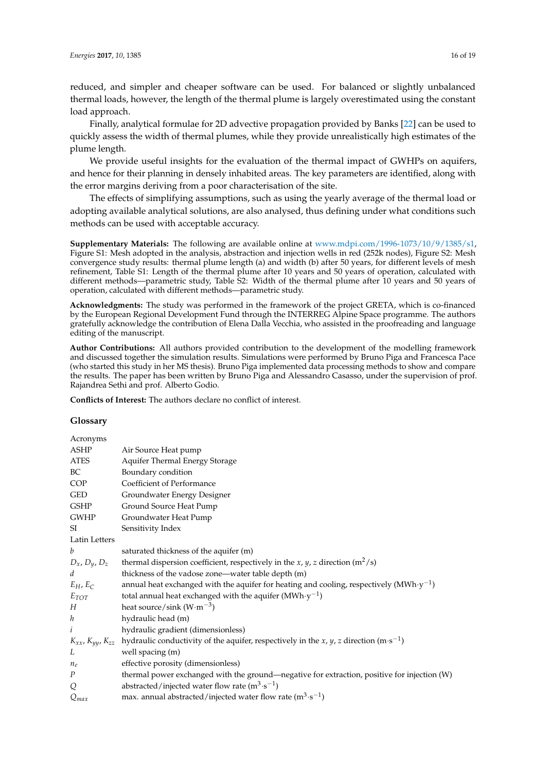reduced, and simpler and cheaper software can be used. For balanced or slightly unbalanced thermal loads, however, the length of the thermal plume is largely overestimated using the constant load approach.

Finally, analytical formulae for 2D advective propagation provided by Banks [22] can be used to quickly assess the width of thermal plumes, while they provide unrealistically high estimates of the plume length.

We provide useful insights for the evaluation of the thermal impact of GWHPs on aquifers, and hence for their planning in densely inhabited areas. The key parameters are identified, along with the error margins deriving from a poor characterisation of the site.

The effects of simplifying assumptions, such as using the yearly average of the thermal load or adopting available analytical solutions, are also analysed, thus defining under what conditions such methods can be used with acceptable accuracy.

**Supplementary Materials:** The following are available online at [www.mdpi.com/1996-1073/10/9/1385/s1,](www.mdpi.com/1996-1073/10/9/1385/s1) Figure S1: Mesh adopted in the analysis, abstraction and injection wells in red (252k nodes), Figure S2: Mesh convergence study results: thermal plume length (a) and width (b) after 50 years, for different levels of mesh refinement, Table S1: Length of the thermal plume after 10 years and 50 years of operation, calculated with different methods—parametric study, Table S2: Width of the thermal plume after 10 years and 50 years of operation, calculated with different methods—parametric study.

**Acknowledgments:** The study was performed in the framework of the project GRETA, which is co-financed by the European Regional Development Fund through the INTERREG Alpine Space programme. The authors gratefully acknowledge the contribution of Elena Dalla Vecchia, who assisted in the proofreading and language editing of the manuscript.

**Author Contributions:** All authors provided contribution to the development of the modelling framework and discussed together the simulation results. Simulations were performed by Bruno Piga and Francesca Pace (who started this study in her MS thesis). Bruno Piga implemented data processing methods to show and compare the results. The paper has been written by Bruno Piga and Alessandro Casasso, under the supervision of prof. Rajandrea Sethi and prof. Alberto Godio.

**Conflicts of Interest:** The authors declare no conflict of interest.

#### **Glossary**

| Acronyms              |                                                                                                                                  |
|-----------------------|----------------------------------------------------------------------------------------------------------------------------------|
| ASHP                  | Air Source Heat pump                                                                                                             |
| ATES                  | Aquifer Thermal Energy Storage                                                                                                   |
| BC                    | Boundary condition                                                                                                               |
| COP                   | Coefficient of Performance                                                                                                       |
| <b>GED</b>            | Groundwater Energy Designer                                                                                                      |
| GSHP                  | Ground Source Heat Pump                                                                                                          |
| GWHP                  | Groundwater Heat Pump                                                                                                            |
| SI                    | Sensitivity Index                                                                                                                |
| Latin Letters         |                                                                                                                                  |
| b                     | saturated thickness of the aquifer (m)                                                                                           |
| $D_x$ , $D_y$ , $D_z$ | thermal dispersion coefficient, respectively in the <i>x</i> , <i>y</i> , <i>z</i> direction ( $m^2$ /s)                         |
| d                     | thickness of the vadose zone-water table depth (m)                                                                               |
| $E_H$ , $E_C$         | annual heat exchanged with the aquifer for heating and cooling, respectively (MWh· $y^{-1}$ )                                    |
| $E_{TOT}$             | total annual heat exchanged with the aquifer (MWh $\cdot$ y <sup>-1</sup> )                                                      |
| Н                     | heat source/sink $(W \cdot m^{-3})$                                                                                              |
| $\boldsymbol{h}$      | hydraulic head (m)                                                                                                               |
| i                     | hydraulic gradient (dimensionless)                                                                                               |
|                       | $K_{xx}$ , $K_{yy}$ , $K_{zz}$ hydraulic conductivity of the aquifer, respectively in the x, y, z direction (m·s <sup>-1</sup> ) |
| L                     | well spacing (m)                                                                                                                 |
| $n_e$                 | effective porosity (dimensionless)                                                                                               |
| Ρ                     | thermal power exchanged with the ground—negative for extraction, positive for injection (W)                                      |
| Q                     | abstracted/injected water flow rate $(m^3 \cdot s^{-1})$                                                                         |
| $Q_{max}$             | max. annual abstracted/injected water flow rate $(m^3 \cdot s^{-1})$                                                             |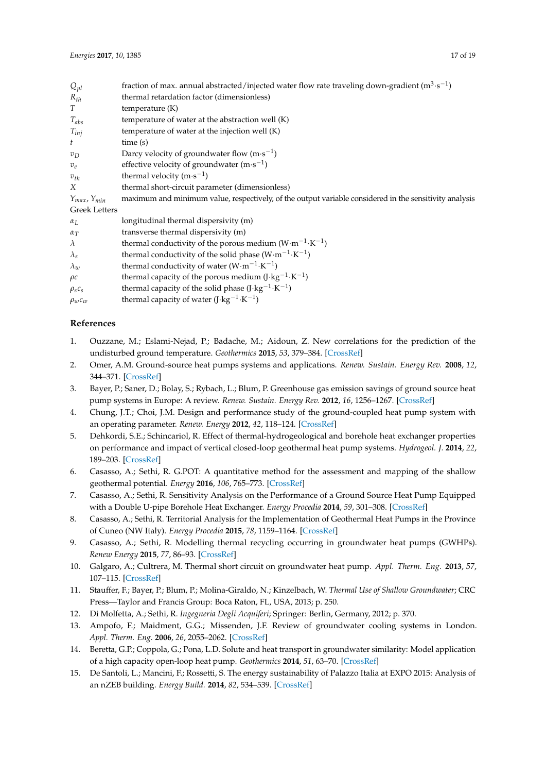| fraction of max. annual abstracted/injected water flow rate traveling down-gradient ( $m^3 \cdot s^{-1}$ ) |
|------------------------------------------------------------------------------------------------------------|
| thermal retardation factor (dimensionless)                                                                 |
| temperature $(K)$                                                                                          |
| temperature of water at the abstraction well (K)                                                           |
| temperature of water at the injection well (K)                                                             |
| time(s)                                                                                                    |
| Darcy velocity of groundwater flow $(m \cdot s^{-1})$                                                      |
| effective velocity of groundwater $(m \cdot s^{-1})$                                                       |
| thermal velocity $(m \cdot s^{-1})$                                                                        |
| thermal short-circuit parameter (dimensionless)                                                            |
| maximum and minimum value, respectively, of the output variable considered in the sensitivity analysis     |
|                                                                                                            |
| longitudinal thermal dispersivity (m)                                                                      |
| transverse thermal dispersivity (m)                                                                        |
| thermal conductivity of the porous medium $(W \cdot m^{-1} \cdot K^{-1})$                                  |
|                                                                                                            |

| $\lambda_{\rm s}$ | thermal conductivity of the solid phase $(W \cdot m^{-1} \cdot K^{-1})$ |
|-------------------|-------------------------------------------------------------------------|
| $\lambda_{\eta}$  | thermal conductivity of water $(W \cdot m^{-1} \cdot K^{-1})$           |
| $\rho c$          | thermal capacity of the porous medium $(I \cdot kg^{-1} \cdot K^{-1})$  |
| $\rho_s c_s$      | thermal capacity of the solid phase $(J \cdot kg^{-1} \cdot K^{-1})$    |

 $\rho_w c_w$  thermal capacity of water (J·kg<sup>-1</sup>·K<sup>-1</sup>)

#### **References**

- 1. Ouzzane, M.; Eslami-Nejad, P.; Badache, M.; Aidoun, Z. New correlations for the prediction of the undisturbed ground temperature. *Geothermics* **2015**, *53*, 379–384. [\[CrossRef\]](http://dx.doi.org/10.1016/j.geothermics.2014.08.001)
- 2. Omer, A.M. Ground-source heat pumps systems and applications. *Renew. Sustain. Energy Rev.* **2008**, *12*, 344–371. [\[CrossRef\]](http://dx.doi.org/10.1016/j.rser.2006.10.003)
- 3. Bayer, P.; Saner, D.; Bolay, S.; Rybach, L.; Blum, P. Greenhouse gas emission savings of ground source heat pump systems in Europe: A review. *Renew. Sustain. Energy Rev.* **2012**, *16*, 1256–1267. [\[CrossRef\]](http://dx.doi.org/10.1016/j.rser.2011.09.027)
- 4. Chung, J.T.; Choi, J.M. Design and performance study of the ground-coupled heat pump system with an operating parameter. *Renew. Energy* **2012**, *42*, 118–124. [\[CrossRef\]](http://dx.doi.org/10.1016/j.renene.2011.08.054)
- 5. Dehkordi, S.E.; Schincariol, R. Effect of thermal-hydrogeological and borehole heat exchanger properties on performance and impact of vertical closed-loop geothermal heat pump systems. *Hydrogeol. J.* **2014**, *22*, 189–203. [\[CrossRef\]](http://dx.doi.org/10.1007/s10040-013-1060-6)
- 6. Casasso, A.; Sethi, R. G.POT: A quantitative method for the assessment and mapping of the shallow geothermal potential. *Energy* **2016**, *106*, 765–773. [\[CrossRef\]](http://dx.doi.org/10.1016/j.energy.2016.03.091)
- 7. Casasso, A.; Sethi, R. Sensitivity Analysis on the Performance of a Ground Source Heat Pump Equipped with a Double U-pipe Borehole Heat Exchanger. *Energy Procedia* **2014**, *59*, 301–308. [\[CrossRef\]](http://dx.doi.org/10.1016/j.egypro.2014.10.381)
- 8. Casasso, A.; Sethi, R. Territorial Analysis for the Implementation of Geothermal Heat Pumps in the Province of Cuneo (NW Italy). *Energy Procedia* **2015**, *78*, 1159–1164. [\[CrossRef\]](http://dx.doi.org/10.1016/j.egypro.2015.11.083)
- 9. Casasso, A.; Sethi, R. Modelling thermal recycling occurring in groundwater heat pumps (GWHPs). *Renew Energy* **2015**, *77*, 86–93. [\[CrossRef\]](http://dx.doi.org/10.1016/j.renene.2014.12.003)
- 10. Galgaro, A.; Cultrera, M. Thermal short circuit on groundwater heat pump. *Appl. Therm. Eng.* **2013**, *57*, 107–115. [\[CrossRef\]](http://dx.doi.org/10.1016/j.applthermaleng.2013.03.011)
- 11. Stauffer, F.; Bayer, P.; Blum, P.; Molina-Giraldo, N.; Kinzelbach, W. *Thermal Use of Shallow Groundwater*; CRC Press—Taylor and Francis Group: Boca Raton, FL, USA, 2013; p. 250.
- 12. Di Molfetta, A.; Sethi, R. *Ingegneria Degli Acquiferi*; Springer: Berlin, Germany, 2012; p. 370.
- 13. Ampofo, F.; Maidment, G.G.; Missenden, J.F. Review of groundwater cooling systems in London. *Appl. Therm. Eng.* **2006**, *26*, 2055–2062. [\[CrossRef\]](http://dx.doi.org/10.1016/j.applthermaleng.2006.02.013)
- 14. Beretta, G.P.; Coppola, G.; Pona, L.D. Solute and heat transport in groundwater similarity: Model application of a high capacity open-loop heat pump. *Geothermics* **2014**, *51*, 63–70. [\[CrossRef\]](http://dx.doi.org/10.1016/j.geothermics.2013.10.009)
- 15. De Santoli, L.; Mancini, F.; Rossetti, S. The energy sustainability of Palazzo Italia at EXPO 2015: Analysis of an nZEB building. *Energy Build.* **2014**, *82*, 534–539. [\[CrossRef\]](http://dx.doi.org/10.1016/j.enbuild.2014.07.057)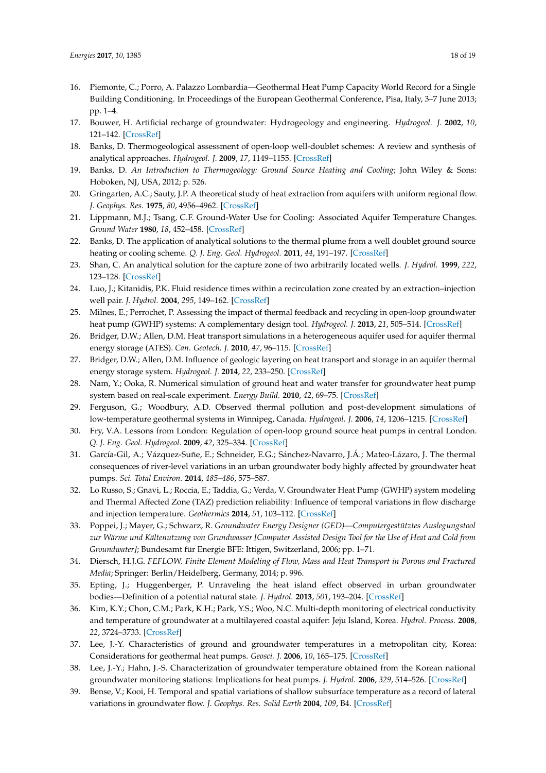- 16. Piemonte, C.; Porro, A. Palazzo Lombardia—Geothermal Heat Pump Capacity World Record for a Single Building Conditioning. In Proceedings of the European Geothermal Conference, Pisa, Italy, 3–7 June 2013; pp. 1–4.
- 17. Bouwer, H. Artificial recharge of groundwater: Hydrogeology and engineering. *Hydrogeol. J.* **2002**, *10*, 121–142. [\[CrossRef\]](http://dx.doi.org/10.1007/s10040-001-0182-4)
- 18. Banks, D. Thermogeological assessment of open-loop well-doublet schemes: A review and synthesis of analytical approaches. *Hydrogeol. J.* **2009**, *17*, 1149–1155. [\[CrossRef\]](http://dx.doi.org/10.1007/s10040-008-0427-6)
- 19. Banks, D. *An Introduction to Thermogeology: Ground Source Heating and Cooling*; John Wiley & Sons: Hoboken, NJ, USA, 2012; p. 526.
- 20. Gringarten, A.C.; Sauty, J.P. A theoretical study of heat extraction from aquifers with uniform regional flow. *J. Geophys. Res.* **1975**, *80*, 4956–4962. [\[CrossRef\]](http://dx.doi.org/10.1029/JB080i035p04956)
- 21. Lippmann, M.J.; Tsang, C.F. Ground-Water Use for Cooling: Associated Aquifer Temperature Changes. *Ground Water* **1980**, *18*, 452–458. [\[CrossRef\]](http://dx.doi.org/10.1111/j.1745-6584.1980.tb03420.x)
- 22. Banks, D. The application of analytical solutions to the thermal plume from a well doublet ground source heating or cooling scheme. *Q. J. Eng. Geol. Hydrogeol.* **2011**, *44*, 191–197. [\[CrossRef\]](http://dx.doi.org/10.1144/1470-9236/09-028)
- 23. Shan, C. An analytical solution for the capture zone of two arbitrarily located wells. *J. Hydrol.* **1999**, *222*, 123–128. [\[CrossRef\]](http://dx.doi.org/10.1016/S0022-1694(99)00101-8)
- 24. Luo, J.; Kitanidis, P.K. Fluid residence times within a recirculation zone created by an extraction–injection well pair. *J. Hydrol.* **2004**, *295*, 149–162. [\[CrossRef\]](http://dx.doi.org/10.1016/j.jhydrol.2004.03.006)
- 25. Milnes, E.; Perrochet, P. Assessing the impact of thermal feedback and recycling in open-loop groundwater heat pump (GWHP) systems: A complementary design tool. *Hydrogeol. J.* **2013**, *21*, 505–514. [\[CrossRef\]](http://dx.doi.org/10.1007/s10040-012-0902-y)
- 26. Bridger, D.W.; Allen, D.M. Heat transport simulations in a heterogeneous aquifer used for aquifer thermal energy storage (ATES). *Can. Geotech. J.* **2010**, *47*, 96–115. [\[CrossRef\]](http://dx.doi.org/10.1139/T09-078)
- 27. Bridger, D.W.; Allen, D.M. Influence of geologic layering on heat transport and storage in an aquifer thermal energy storage system. *Hydrogeol. J.* **2014**, *22*, 233–250. [\[CrossRef\]](http://dx.doi.org/10.1007/s10040-013-1049-1)
- 28. Nam, Y.; Ooka, R. Numerical simulation of ground heat and water transfer for groundwater heat pump system based on real-scale experiment. *Energy Build.* **2010**, *42*, 69–75. [\[CrossRef\]](http://dx.doi.org/10.1016/j.enbuild.2009.07.012)
- 29. Ferguson, G.; Woodbury, A.D. Observed thermal pollution and post-development simulations of low-temperature geothermal systems in Winnipeg, Canada. *Hydrogeol. J.* **2006**, *14*, 1206–1215. [\[CrossRef\]](http://dx.doi.org/10.1007/s10040-006-0047-y)
- 30. Fry, V.A. Lessons from London: Regulation of open-loop ground source heat pumps in central London. *Q. J. Eng. Geol. Hydrogeol.* **2009**, *42*, 325–334. [\[CrossRef\]](http://dx.doi.org/10.1144/1470-9236/08-087)
- 31. García-Gil, A.; Vázquez-Suñe, E.; Schneider, E.G.; Sánchez-Navarro, J.Á.; Mateo-Lázaro, J. The thermal consequences of river-level variations in an urban groundwater body highly affected by groundwater heat pumps. *Sci. Total Environ.* **2014**, *485–486*, 575–587.
- 32. Lo Russo, S.; Gnavi, L.; Roccia, E.; Taddia, G.; Verda, V. Groundwater Heat Pump (GWHP) system modeling and Thermal Affected Zone (TAZ) prediction reliability: Influence of temporal variations in flow discharge and injection temperature. *Geothermics* **2014**, *51*, 103–112. [\[CrossRef\]](http://dx.doi.org/10.1016/j.geothermics.2013.10.008)
- 33. Poppei, J.; Mayer, G.; Schwarz, R. *Groundwater Energy Designer (GED)—Computergestütztes Auslegungstool zur Wärme und Kältenutzung von Grundwasser [Computer Assisted Design Tool for the Use of Heat and Cold from Groundwater]*; Bundesamt für Energie BFE: Ittigen, Switzerland, 2006; pp. 1–71.
- 34. Diersch, H.J.G. *FEFLOW. Finite Element Modeling of Flow, Mass and Heat Transport in Porous and Fractured Media*; Springer: Berlin/Heidelberg, Germany, 2014; p. 996.
- 35. Epting, J.; Huggenberger, P. Unraveling the heat island effect observed in urban groundwater bodies—Definition of a potential natural state. *J. Hydrol.* **2013**, *501*, 193–204. [\[CrossRef\]](http://dx.doi.org/10.1016/j.jhydrol.2013.08.002)
- 36. Kim, K.Y.; Chon, C.M.; Park, K.H.; Park, Y.S.; Woo, N.C. Multi-depth monitoring of electrical conductivity and temperature of groundwater at a multilayered coastal aquifer: Jeju Island, Korea. *Hydrol. Process.* **2008**, *22*, 3724–3733. [\[CrossRef\]](http://dx.doi.org/10.1002/hyp.6976)
- 37. Lee, J.-Y. Characteristics of ground and groundwater temperatures in a metropolitan city, Korea: Considerations for geothermal heat pumps. *Geosci. J.* **2006**, *10*, 165–175. [\[CrossRef\]](http://dx.doi.org/10.1007/BF02910361)
- 38. Lee, J.-Y.; Hahn, J.-S. Characterization of groundwater temperature obtained from the Korean national groundwater monitoring stations: Implications for heat pumps. *J. Hydrol.* **2006**, *329*, 514–526. [\[CrossRef\]](http://dx.doi.org/10.1016/j.jhydrol.2006.03.007)
- 39. Bense, V.; Kooi, H. Temporal and spatial variations of shallow subsurface temperature as a record of lateral variations in groundwater flow. *J. Geophys. Res. Solid Earth* **2004**, *109*, B4. [\[CrossRef\]](http://dx.doi.org/10.1029/2003JB002782)